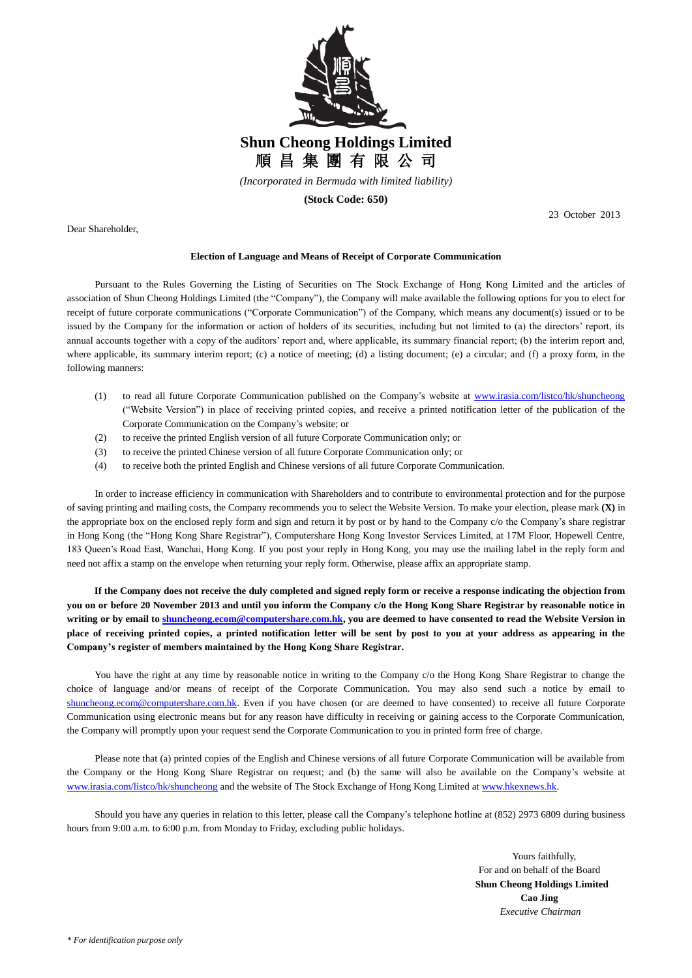

*(Incorporated in Bermuda with limited liability)*

**(Stock Code: 650)**

Dear Shareholder,

23 October 2013

## **Election of Language and Means of Receipt of Corporate Communication**

Pursuant to the Rules Governing the Listing of Securities on The Stock Exchange of Hong Kong Limited and the articles of association of Shun Cheong Holdings Limited (the "Company"), the Company will make available the following options for you to elect for receipt of future corporate communications ("Corporate Communication") of the Company, which means any document(s) issued or to be issued by the Company for the information or action of holders of its securities, including but not limited to (a) the directors' report, its annual accounts together with a copy of the auditors' report and, where applicable, its summary financial report; (b) the interim report and, where applicable, its summary interim report; (c) a notice of meeting; (d) a listing document; (e) a circular; and (f) a proxy form, in the following manners:

- (1) to read all future Corporate Communication published on the Company's website at www.irasia.com/listco/hk/shuncheong ("Website Version") in place of receiving printed copies, and receive a printed notification letter of the publication of the Corporate Communication on the Company's website; or
- (2) to receive the printed English version of all future Corporate Communication only; or
- (3) to receive the printed Chinese version of all future Corporate Communication only; or
- (4) to receive both the printed English and Chinese versions of all future Corporate Communication.

In order to increase efficiency in communication with Shareholders and to contribute to environmental protection and for the purpose of saving printing and mailing costs, the Company recommends you to select the Website Version. To make your election, please mark **(X)** in the appropriate box on the enclosed reply form and sign and return it by post or by hand to the Company c/o the Company's share registrar in Hong Kong (the "Hong Kong Share Registrar"), Computershare Hong Kong Investor Services Limited, at 17M Floor, Hopewell Centre, 183 Queen's Road East, Wanchai, Hong Kong. If you post your reply in Hong Kong, you may use the mailing label in the reply form and need not affix a stamp on the envelope when returning your reply form. Otherwise, please affix an appropriate stamp.

**If the Company does not receive the duly completed and signed reply form or receive a response indicating the objection from you on or before 20 November 2013 and until you inform the Company c/o the Hong Kong Share Registrar by reasonable notice in writing or by email t[o shuncheong.ecom@computershare.com.hk,](mailto:shuncheong.ecom@computershare.com.hk) you are deemed to have consented to read the Website Version in place of receiving printed copies, a printed notification letter will be sent by post to you at your address as appearing in the Company's register of members maintained by the Hong Kong Share Registrar.**

You have the right at any time by reasonable notice in writing to the Company c/o the Hong Kong Share Registrar to change the choice of language and/or means of receipt of the Corporate Communication. You may also send such a notice by email to [shuncheong.ecom@computershare.com.hk.](mailto:shuncheong.ecom@computershare.com.hk) Even if you have chosen (or are deemed to have consented) to receive all future Corporate Communication using electronic means but for any reason have difficulty in receiving or gaining access to the Corporate Communication, the Company will promptly upon your request send the Corporate Communication to you in printed form free of charge.

Please note that (a) printed copies of the English and Chinese versions of all future Corporate Communication will be available from the Company or the Hong Kong Share Registrar on request; and (b) the same will also be available on the Company's website at www.irasia.com/listco/hk/shuncheong and the website of The Stock Exchange of Hong Kong Limited at www.hkexnews.hk.

Should you have any queries in relation to this letter, please call the Company's telephone hotline at (852) 2973 6809 during business hours from 9:00 a.m. to 6:00 p.m. from Monday to Friday, excluding public holidays.

> Yours faithfully, For and on behalf of the Board  **Shun Cheong Holdings Limited Cao Jing** *Executive Chairman*